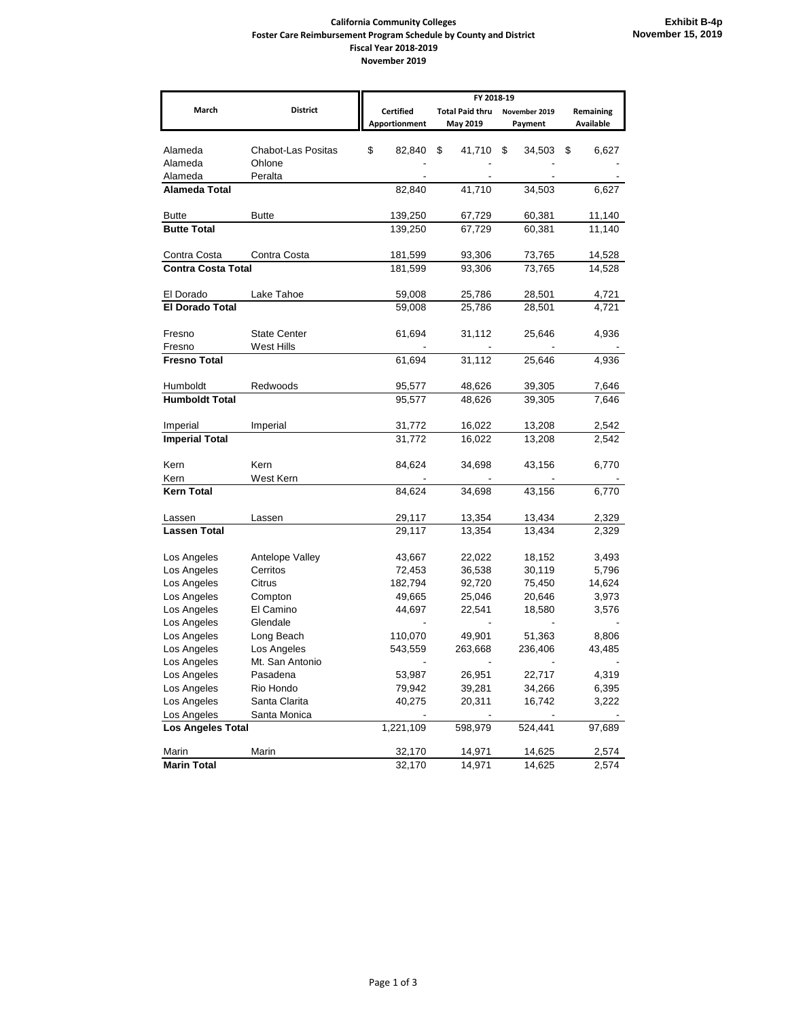## **California Community Colleges Foster Care Reimbursement Program Schedule by County and District Fiscal Year 2018-2019 November 2019**

|                           |                    | FY 2018-19       |                        |               |           |
|---------------------------|--------------------|------------------|------------------------|---------------|-----------|
| March                     | <b>District</b>    | <b>Certified</b> | <b>Total Paid thru</b> | November 2019 | Remaining |
|                           |                    | Apportionment    | May 2019               | Payment       | Available |
| Alameda                   | Chabot-Las Positas | \$<br>82,840     | \$<br>41,710           | \$<br>34,503  | \$        |
| Alameda                   | Ohlone             |                  |                        |               | 6,627     |
| Alameda                   | Peralta            |                  |                        |               |           |
| Alameda Total             |                    | 82,840           | 41,710                 | 34,503        | 6,627     |
|                           |                    |                  |                        |               |           |
| <b>Butte</b>              | <b>Butte</b>       | 139,250          | 67,729                 | 60,381        | 11,140    |
| <b>Butte Total</b>        |                    | 139,250          | 67,729                 | 60,381        | 11,140    |
| Contra Costa              | Contra Costa       | 181,599          | 93,306                 | 73,765        | 14,528    |
| <b>Contra Costa Total</b> |                    | 181,599          | 93,306                 | 73,765        | 14,528    |
|                           |                    |                  |                        |               |           |
| El Dorado                 | Lake Tahoe         | 59,008           | 25,786                 | 28,501        | 4,721     |
| <b>El Dorado Total</b>    |                    | 59,008           | 25,786                 | 28,501        | 4,721     |
| Fresno                    | State Center       | 61,694           | 31,112                 | 25,646        | 4,936     |
| Fresno                    | West Hills         |                  |                        |               |           |
| <b>Fresno Total</b>       |                    | 61,694           | 31,112                 | 25,646        | 4,936     |
|                           |                    |                  |                        |               |           |
| Humboldt                  | Redwoods           | 95,577           | 48,626                 | 39,305        | 7,646     |
| <b>Humboldt Total</b>     |                    | 95,577           | 48,626                 | 39,305        | 7,646     |
|                           |                    |                  |                        |               |           |
| Imperial                  | Imperial           | 31,772           | 16,022                 | 13,208        | 2,542     |
| <b>Imperial Total</b>     |                    | 31,772           | 16,022                 | 13,208        | 2,542     |
| Kern                      | Kern               | 84,624           | 34,698                 | 43,156        | 6,770     |
| Kern                      | West Kern          |                  |                        |               |           |
| <b>Kern Total</b>         |                    | 84,624           | 34,698                 | 43,156        | 6,770     |
|                           |                    |                  |                        |               |           |
| Lassen                    | Lassen             | 29,117           | 13,354                 | 13,434        | 2,329     |
| <b>Lassen Total</b>       |                    | 29,117           | 13,354                 | 13,434        | 2,329     |
| Los Angeles               | Antelope Valley    | 43,667           | 22,022                 | 18,152        | 3,493     |
| Los Angeles               | Cerritos           | 72,453           | 36,538                 | 30,119        | 5,796     |
| Los Angeles               | Citrus             | 182,794          | 92,720                 | 75,450        | 14,624    |
| Los Angeles               | Compton            | 49,665           | 25,046                 | 20,646        | 3,973     |
| Los Angeles               | El Camino          | 44,697           | 22,541                 | 18,580        | 3,576     |
| Los Angeles               | Glendale           |                  |                        |               |           |
| Los Angeles               | Long Beach         | 110,070          | 49,901                 | 51,363        | 8,806     |
| Los Angeles               | Los Angeles        | 543,559          | 263,668                | 236,406       | 43,485    |
| Los Angeles               | Mt. San Antonio    |                  |                        |               |           |
| Los Angeles               | Pasadena           | 53,987           | 26,951                 | 22,717        | 4,319     |
| Los Angeles               | Rio Hondo          | 79,942           | 39,281                 | 34,266        | 6,395     |
| Los Angeles               | Santa Clarita      | 40,275           | 20,311                 | 16,742        | 3,222     |
| Los Angeles               | Santa Monica       |                  |                        |               |           |
| <b>Los Angeles Total</b>  |                    | 1,221,109        | 598,979                | 524,441       | 97,689    |
|                           |                    |                  |                        |               |           |
| Marin                     | Marin              | 32,170           | 14,971                 | 14,625        | 2,574     |
| <b>Marin Total</b>        |                    | 32,170           | 14,971                 | 14,625        | 2,574     |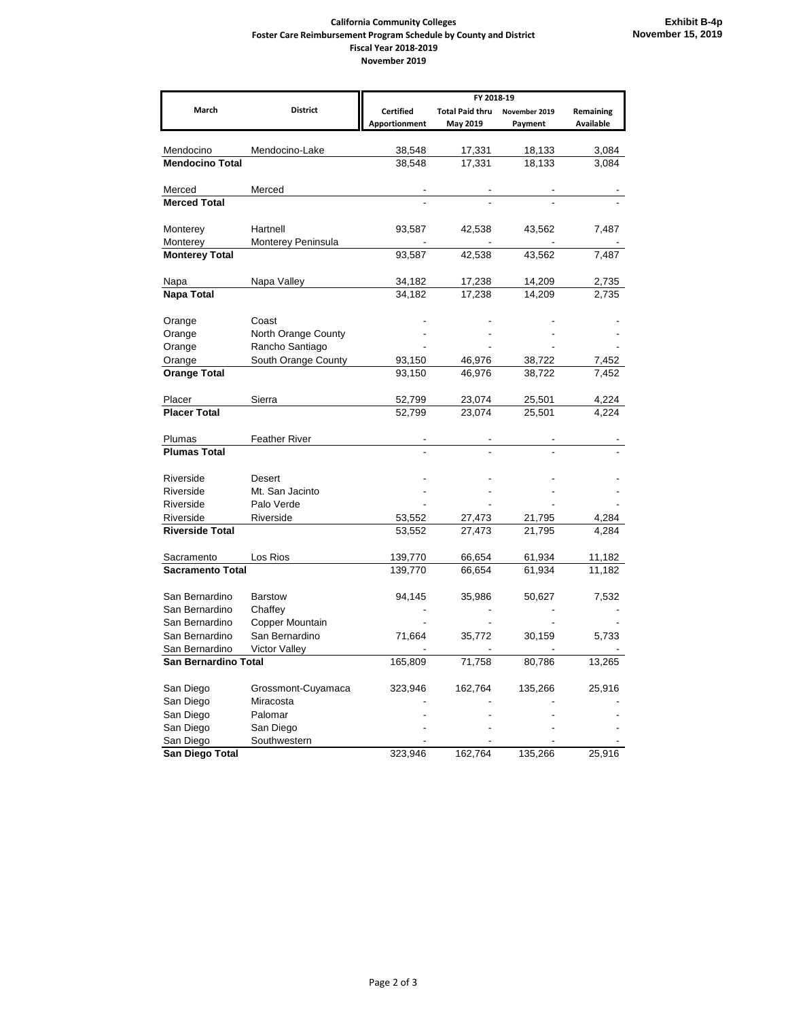## **California Community Colleges Foster Care Reimbursement Program Schedule by County and District Fiscal Year 2018-2019 November 2019**

|                               |                            | FY 2018-19           |                        |                  |                |  |
|-------------------------------|----------------------------|----------------------|------------------------|------------------|----------------|--|
| March                         | <b>District</b>            | <b>Certified</b>     | <b>Total Paid thru</b> | November 2019    | Remaining      |  |
|                               |                            | <b>Apportionment</b> | May 2019               | Payment          | Available      |  |
|                               |                            |                      |                        |                  |                |  |
| Mendocino                     | Mendocino-Lake             | 38,548               | 17,331                 | 18,133           | 3,084          |  |
| <b>Mendocino Total</b>        |                            | 38,548               | 17,331                 | 18,133           | 3,084          |  |
| Merced                        | Merced                     |                      |                        |                  |                |  |
| <b>Merced Total</b>           |                            |                      |                        |                  |                |  |
|                               |                            |                      |                        |                  |                |  |
| Monterey                      | Hartnell                   | 93,587               | 42,538                 | 43,562           | 7,487          |  |
| Monterey                      | Monterey Peninsula         |                      |                        |                  |                |  |
| <b>Monterey Total</b>         |                            | 93,587               | 42,538                 | 43,562           | 7,487          |  |
|                               |                            |                      |                        |                  |                |  |
| Napa                          | Napa Valley                | 34,182               | 17,238                 | 14,209           | 2,735          |  |
| Napa Total                    |                            | 34,182               | 17,238                 | 14,209           | 2,735          |  |
|                               |                            |                      |                        |                  |                |  |
| Orange                        | Coast                      |                      |                        |                  |                |  |
| Orange                        | North Orange County        |                      |                        |                  |                |  |
| Orange                        | Rancho Santiago            |                      |                        |                  |                |  |
| Orange<br><b>Orange Total</b> | South Orange County        | 93,150<br>93.150     | 46,976<br>46,976       | 38,722<br>38,722 | 7,452<br>7,452 |  |
|                               |                            |                      |                        |                  |                |  |
| Placer                        | Sierra                     | 52,799               | 23,074                 | 25,501           | 4,224          |  |
| <b>Placer Total</b>           |                            | 52,799               | 23,074                 | 25,501           | 4,224          |  |
|                               |                            |                      |                        |                  |                |  |
| Plumas                        | <b>Feather River</b>       |                      |                        |                  |                |  |
| <b>Plumas Total</b>           |                            |                      |                        |                  |                |  |
|                               |                            |                      |                        |                  |                |  |
| Riverside                     | Desert                     |                      |                        |                  |                |  |
| Riverside                     | Mt. San Jacinto            |                      |                        |                  |                |  |
| Riverside                     | Palo Verde                 |                      |                        |                  |                |  |
| Riverside                     | Riverside                  | 53,552               | 27,473                 | 21,795           | 4,284          |  |
| <b>Riverside Total</b>        |                            | 53,552               | 27,473                 | 21,795           | 4.284          |  |
|                               |                            |                      |                        |                  |                |  |
| Sacramento                    | Los Rios                   | 139,770              | 66,654                 | 61,934           | 11,182         |  |
| <b>Sacramento Total</b>       |                            | 139,770              | 66,654                 | 61,934           | 11,182         |  |
| San Bernardino                | <b>Barstow</b>             |                      |                        |                  |                |  |
| San Bernardino                |                            | 94,145               | 35,986                 | 50,627           | 7,532          |  |
| San Bernardino                | Chaffey<br>Copper Mountain |                      |                        |                  |                |  |
| San Bernardino                | San Bernardino             | 71,664               | 35,772                 | 30,159           | 5,733          |  |
| San Bernardino                | <b>Victor Valley</b>       |                      |                        |                  |                |  |
| San Bernardino Total          |                            | 165,809              | 71,758                 | 80,786           | 13,265         |  |
|                               |                            |                      |                        |                  |                |  |
| San Diego                     | Grossmont-Cuyamaca         | 323,946              | 162,764                | 135,266          | 25,916         |  |
| San Diego                     | Miracosta                  |                      |                        |                  |                |  |
| San Diego                     | Palomar                    |                      |                        |                  |                |  |
| San Diego                     | San Diego                  |                      |                        |                  |                |  |
| San Diego                     | Southwestern               |                      |                        |                  |                |  |
| San Diego Total               |                            | 323,946              | 162,764                | 135,266          | 25,916         |  |